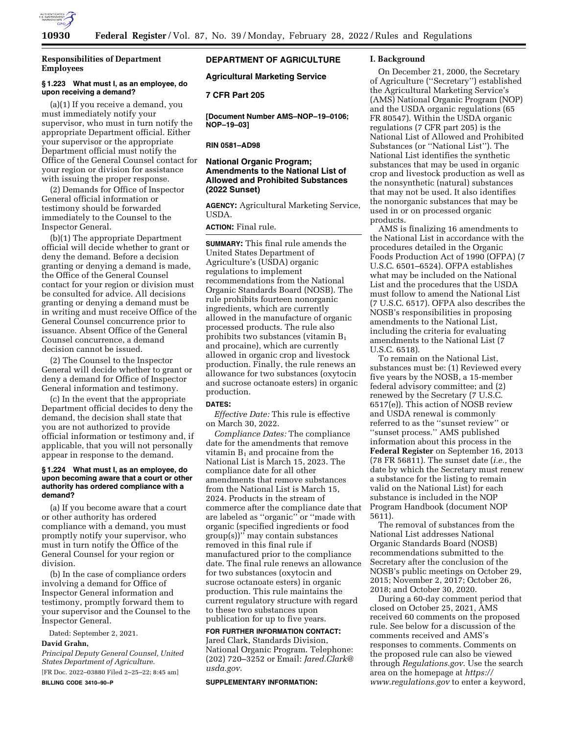

**Responsibilities of Department Employees** 

### **§ 1.223 What must I, as an employee, do upon receiving a demand?**

(a)(1) If you receive a demand, you must immediately notify your supervisor, who must in turn notify the appropriate Department official. Either your supervisor or the appropriate Department official must notify the Office of the General Counsel contact for your region or division for assistance with issuing the proper response.

(2) Demands for Office of Inspector General official information or testimony should be forwarded immediately to the Counsel to the Inspector General.

(b)(1) The appropriate Department official will decide whether to grant or deny the demand. Before a decision granting or denying a demand is made, the Office of the General Counsel contact for your region or division must be consulted for advice. All decisions granting or denying a demand must be in writing and must receive Office of the General Counsel concurrence prior to issuance. Absent Office of the General Counsel concurrence, a demand decision cannot be issued.

(2) The Counsel to the Inspector General will decide whether to grant or deny a demand for Office of Inspector General information and testimony.

(c) In the event that the appropriate Department official decides to deny the demand, the decision shall state that you are not authorized to provide official information or testimony and, if applicable, that you will not personally appear in response to the demand.

### **§ 1.224 What must I, as an employee, do upon becoming aware that a court or other authority has ordered compliance with a demand?**

(a) If you become aware that a court or other authority has ordered compliance with a demand, you must promptly notify your supervisor, who must in turn notify the Office of the General Counsel for your region or division.

(b) In the case of compliance orders involving a demand for Office of Inspector General information and testimony, promptly forward them to your supervisor and the Counsel to the Inspector General.

Dated: September 2, 2021.

# **David Grahn,**

*Principal Deputy General Counsel, United States Department of Agriculture.* 

[FR Doc. 2022–03880 Filed 2–25–22; 8:45 am] **BILLING CODE 3410–90–P** 

# **DEPARTMENT OF AGRICULTURE**

**Agricultural Marketing Service** 

# **7 CFR Part 205**

**[Document Number AMS–NOP–19–0106; NOP–19–03]** 

### **RIN 0581–AD98**

# **National Organic Program; Amendments to the National List of Allowed and Prohibited Substances (2022 Sunset)**

**AGENCY:** Agricultural Marketing Service, USDA.

# **ACTION:** Final rule.

**SUMMARY:** This final rule amends the United States Department of Agriculture's (USDA) organic regulations to implement recommendations from the National Organic Standards Board (NOSB). The rule prohibits fourteen nonorganic ingredients, which are currently allowed in the manufacture of organic processed products. The rule also prohibits two substances (vitamin  $B_1$ and procaine), which are currently allowed in organic crop and livestock production. Finally, the rule renews an allowance for two substances (oxytocin and sucrose octanoate esters) in organic production.

## **DATES:**

*Effective Date:* This rule is effective on March 30, 2022.

*Compliance Dates:* The compliance date for the amendments that remove vitamin  $B_1$  and procaine from the National List is March 15, 2023. The compliance date for all other amendments that remove substances from the National List is March 15, 2024. Products in the stream of commerce after the compliance date that are labeled as ''organic'' or ''made with organic (specified ingredients or food group(s))'' may contain substances removed in this final rule if manufactured prior to the compliance date. The final rule renews an allowance for two substances (oxytocin and sucrose octanoate esters) in organic production. This rule maintains the current regulatory structure with regard to these two substances upon publication for up to five years.

# **FOR FURTHER INFORMATION CONTACT:**

Jared Clark, Standards Division, National Organic Program. Telephone: (202) 720–3252 or Email: *[Jared.Clark@](mailto:Jared.Clark@usda.gov) [usda.gov.](mailto:Jared.Clark@usda.gov)* 

#### **SUPPLEMENTARY INFORMATION:**

### **I. Background**

On December 21, 2000, the Secretary of Agriculture (''Secretary'') established the Agricultural Marketing Service's (AMS) National Organic Program (NOP) and the USDA organic regulations (65 FR 80547). Within the USDA organic regulations (7 CFR part 205) is the National List of Allowed and Prohibited Substances (or ''National List''). The National List identifies the synthetic substances that may be used in organic crop and livestock production as well as the nonsynthetic (natural) substances that may not be used. It also identifies the nonorganic substances that may be used in or on processed organic products.

AMS is finalizing 16 amendments to the National List in accordance with the procedures detailed in the Organic Foods Production Act of 1990 (OFPA) (7 U.S.C. 6501–6524). OFPA establishes what may be included on the National List and the procedures that the USDA must follow to amend the National List (7 U.S.C. 6517). OFPA also describes the NOSB's responsibilities in proposing amendments to the National List, including the criteria for evaluating amendments to the National List (7 U.S.C. 6518).

To remain on the National List, substances must be: (1) Reviewed every five years by the NOSB, a 15-member federal advisory committee; and (2) renewed by the Secretary (7 U.S.C. 6517(e)). This action of NOSB review and USDA renewal is commonly referred to as the ''sunset review'' or ''sunset process.'' AMS published information about this process in the **Federal Register** on September 16, 2013 (78 FR 56811). The sunset date (*i.e.,* the date by which the Secretary must renew a substance for the listing to remain valid on the National List) for each substance is included in the NOP Program Handbook (document NOP 5611).

The removal of substances from the National List addresses National Organic Standards Board (NOSB) recommendations submitted to the Secretary after the conclusion of the NOSB's public meetings on October 29, 2015; November 2, 2017; October 26, 2018; and October 30, 2020.

During a 60-day comment period that closed on October 25, 2021, AMS received 60 comments on the proposed rule. See below for a discussion of the comments received and AMS's responses to comments. Comments on the proposed rule can also be viewed through *Regulations.gov*. Use the search area on the homepage at *[https://](https://www.regulations.gov) [www.regulations.gov](https://www.regulations.gov)* to enter a keyword,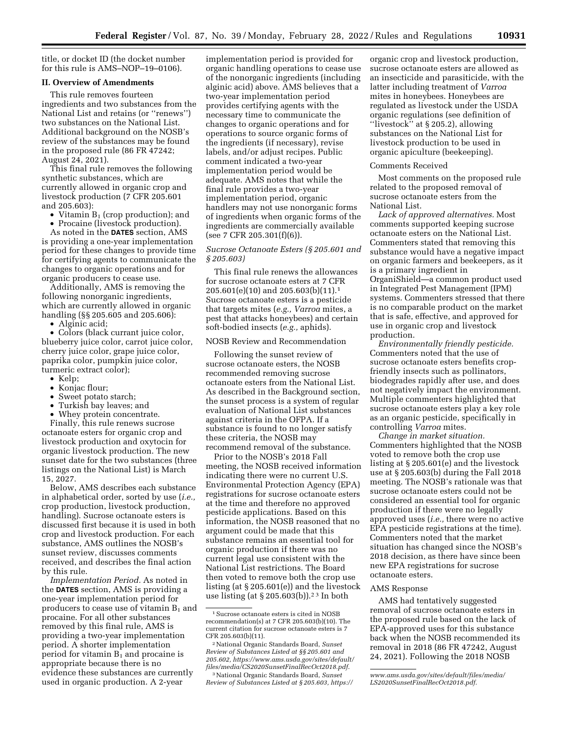title, or docket ID (the docket number for this rule is AMS–NOP–19–0106).

## **II. Overview of Amendments**

This rule removes fourteen ingredients and two substances from the National List and retains (or ''renews'') two substances on the National List. Additional background on the NOSB's review of the substances may be found in the proposed rule (86 FR 47242; August 24, 2021).

This final rule removes the following synthetic substances, which are currently allowed in organic crop and livestock production (7 CFR 205.601 and 205.603):

- Vitamin  $B_1$  (crop production); and
- Procaine (livestock production).

As noted in the **DATES** section, AMS is providing a one-year implementation period for these changes to provide time for certifying agents to communicate the changes to organic operations and for organic producers to cease use.

Additionally, AMS is removing the following nonorganic ingredients, which are currently allowed in organic handling (§§ 205.605 and 205.606):

• Alginic acid;

• Colors (black currant juice color, blueberry juice color, carrot juice color, cherry juice color, grape juice color, paprika color, pumpkin juice color, turmeric extract color);

- Kelp;
- Konjac flour;
- Sweet potato starch;
- Turkish bay leaves; and
- Whey protein concentrate.

Finally, this rule renews sucrose octanoate esters for organic crop and livestock production and oxytocin for organic livestock production. The new sunset date for the two substances (three listings on the National List) is March 15, 2027.

Below, AMS describes each substance in alphabetical order, sorted by use (*i.e.,*  crop production, livestock production, handling). Sucrose octanoate esters is discussed first because it is used in both crop and livestock production. For each substance, AMS outlines the NOSB's sunset review, discusses comments received, and describes the final action by this rule.

*Implementation Period.* As noted in the **DATES** section, AMS is providing a one-year implementation period for producers to cease use of vitamin  $B_1$  and procaine. For all other substances removed by this final rule, AMS is providing a two-year implementation period. A shorter implementation period for vitamin  $B_1$  and procaine is appropriate because there is no evidence these substances are currently used in organic production. A 2-year

implementation period is provided for organic handling operations to cease use of the nonorganic ingredients (including alginic acid) above. AMS believes that a two-year implementation period provides certifying agents with the necessary time to communicate the changes to organic operations and for operations to source organic forms of the ingredients (if necessary), revise labels, and/or adjust recipes. Public comment indicated a two-year implementation period would be adequate. AMS notes that while the final rule provides a two-year implementation period, organic handlers may not use nonorganic forms of ingredients when organic forms of the ingredients are commercially available (see 7 CFR 205.301(f)(6)).

# *Sucrose Octanoate Esters (§ 205.601 and § 205.603)*

This final rule renews the allowances for sucrose octanoate esters at 7 CFR 205.601(e)(10) and 205.603(b)(11).1 Sucrose octanoate esters is a pesticide that targets mites (*e.g., Varroa* mites, a pest that attacks honeybees) and certain soft-bodied insects (*e.g.,* aphids).

## NOSB Review and Recommendation

Following the sunset review of sucrose octanoate esters, the NOSB recommended removing sucrose octanoate esters from the National List. As described in the Background section, the sunset process is a system of regular evaluation of National List substances against criteria in the OFPA. If a substance is found to no longer satisfy these criteria, the NOSB may recommend removal of the substance.

Prior to the NOSB's 2018 Fall meeting, the NOSB received information indicating there were no current U.S. Environmental Protection Agency (EPA) registrations for sucrose octanoate esters at the time and therefore no approved pesticide applications. Based on this information, the NOSB reasoned that no argument could be made that this substance remains an essential tool for organic production if there was no current legal use consistent with the National List restrictions. The Board then voted to remove both the crop use listing (at § 205.601(e)) and the livestock use listing (at  $\S 205.603(b)$ ).<sup>23</sup> In both

*Review of Substances Listed at § 205.603, [https://](https://www.ams.usda.gov/sites/default/files/media/LS2020SunsetFinalRecOct2018.pdf)*

organic crop and livestock production, sucrose octanoate esters are allowed as an insecticide and parasiticide, with the latter including treatment of *Varroa*  mites in honeybees. Honeybees are regulated as livestock under the USDA organic regulations (see definition of ''livestock'' at § 205.2), allowing substances on the National List for livestock production to be used in organic apiculture (beekeeping).

### Comments Received

Most comments on the proposed rule related to the proposed removal of sucrose octanoate esters from the National List.

*Lack of approved alternatives.* Most comments supported keeping sucrose octanoate esters on the National List. Commenters stated that removing this substance would have a negative impact on organic farmers and beekeepers, as it is a primary ingredient in OrganiShield—a common product used in Integrated Pest Management (IPM) systems. Commenters stressed that there is no comparable product on the market that is safe, effective, and approved for use in organic crop and livestock production.

*Environmentally friendly pesticide.*  Commenters noted that the use of sucrose octanoate esters benefits cropfriendly insects such as pollinators, biodegrades rapidly after use, and does not negatively impact the environment. Multiple commenters highlighted that sucrose octanoate esters play a key role as an organic pesticide, specifically in controlling *Varroa* mites.

*Change in market situation.*  Commenters highlighted that the NOSB voted to remove both the crop use listing at § 205.601(e) and the livestock use at § 205.603(b) during the Fall 2018 meeting. The NOSB's rationale was that sucrose octanoate esters could not be considered an essential tool for organic production if there were no legally approved uses (*i.e.,* there were no active EPA pesticide registrations at the time). Commenters noted that the market situation has changed since the NOSB's 2018 decision, as there have since been new EPA registrations for sucrose octanoate esters.

#### AMS Response

AMS had tentatively suggested removal of sucrose octanoate esters in the proposed rule based on the lack of EPA-approved uses for this substance back when the NOSB recommended its removal in 2018 (86 FR 47242, August 24, 2021). Following the 2018 NOSB

<sup>1</sup>Sucrose octanoate esters is cited in NOSB recommendation(s) at 7 CFR 205.603(b)(10). The current citation for sucrose octanoate esters is 7 CFR 205.603(b)(11).

<sup>2</sup>National Organic Standards Board, *Sunset Review of Substances Listed at §§ 205.601 and 205.602, [https://www.ams.usda.gov/sites/default/](https://www.ams.usda.gov/sites/default/files/media/CS2020SunsetFinalRecOct2018.pdf)  [files/media/CS2020SunsetFinalRecOct2018.pdf](https://www.ams.usda.gov/sites/default/files/media/CS2020SunsetFinalRecOct2018.pdf)*. 3National Organic Standards Board, *Sunset* 

*[www.ams.usda.gov/sites/default/files/media/](https://www.ams.usda.gov/sites/default/files/media/LS2020SunsetFinalRecOct2018.pdf)  [LS2020SunsetFinalRecOct2018.pdf](https://www.ams.usda.gov/sites/default/files/media/LS2020SunsetFinalRecOct2018.pdf)*.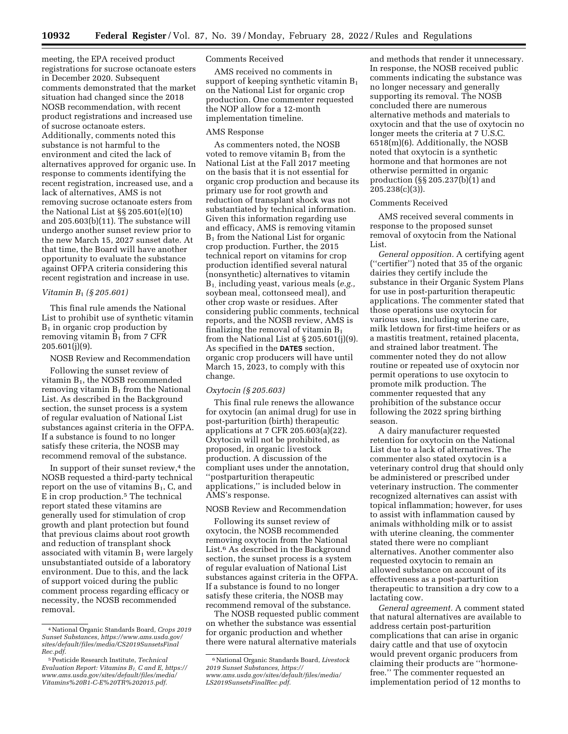meeting, the EPA received product registrations for sucrose octanoate esters in December 2020. Subsequent comments demonstrated that the market situation had changed since the 2018 NOSB recommendation, with recent product registrations and increased use of sucrose octanoate esters. Additionally, comments noted this substance is not harmful to the environment and cited the lack of alternatives approved for organic use. In response to comments identifying the recent registration, increased use, and a lack of alternatives, AMS is not removing sucrose octanoate esters from the National List at §§ 205.601(e)(10) and 205.603(b)(11). The substance will undergo another sunset review prior to the new March 15, 2027 sunset date. At that time, the Board will have another opportunity to evaluate the substance against OFPA criteria considering this recent registration and increase in use.

### *Vitamin B*1 *(§ 205.601)*

This final rule amends the National List to prohibit use of synthetic vitamin  $B_1$  in organic crop production by removing vitamin  $B_1$  from 7 CFR 205.601(j)(9).

NOSB Review and Recommendation

Following the sunset review of vitamin B1, the NOSB recommended removing vitamin  $B_1$  from the National List. As described in the Background section, the sunset process is a system of regular evaluation of National List substances against criteria in the OFPA. If a substance is found to no longer satisfy these criteria, the NOSB may recommend removal of the substance.

In support of their sunset review, $4$  the NOSB requested a third-party technical report on the use of vitamins  $B_1$ , C, and E in crop production.5 The technical report stated these vitamins are generally used for stimulation of crop growth and plant protection but found that previous claims about root growth and reduction of transplant shock associated with vitamin  $B_1$  were largely unsubstantiated outside of a laboratory environment. Due to this, and the lack of support voiced during the public comment process regarding efficacy or necessity, the NOSB recommended removal.

## Comments Received

AMS received no comments in support of keeping synthetic vitamin  $B_1$ on the National List for organic crop production. One commenter requested the NOP allow for a 12-month implementation timeline.

## AMS Response

As commenters noted, the NOSB voted to remove vitamin  $B_1$  from the National List at the Fall 2017 meeting on the basis that it is not essential for organic crop production and because its primary use for root growth and reduction of transplant shock was not substantiated by technical information. Given this information regarding use and efficacy, AMS is removing vitamin  $B_1$  from the National List for organic crop production. Further, the 2015 technical report on vitamins for crop production identified several natural (nonsynthetic) alternatives to vitamin B1, including yeast, various meals (*e.g.,*  soybean meal, cottonseed meal), and other crop waste or residues. After considering public comments, technical reports, and the NOSB review, AMS is finalizing the removal of vitamin  $B_1$ from the National List at § 205.601(j)(9). As specified in the **DATES** section, organic crop producers will have until March 15, 2023, to comply with this change.

### *Oxytocin (§ 205.603)*

This final rule renews the allowance for oxytocin (an animal drug) for use in post-parturition (birth) therapeutic applications at 7 CFR 205.603(a)(22). Oxytocin will not be prohibited, as proposed, in organic livestock production. A discussion of the compliant uses under the annotation, ''postparturition therapeutic applications,'' is included below in AMS's response.

## NOSB Review and Recommendation

Following its sunset review of oxytocin, the NOSB recommended removing oxytocin from the National List.6 As described in the Background section, the sunset process is a system of regular evaluation of National List substances against criteria in the OFPA. If a substance is found to no longer satisfy these criteria, the NOSB may recommend removal of the substance.

The NOSB requested public comment on whether the substance was essential for organic production and whether there were natural alternative materials

and methods that render it unnecessary. In response, the NOSB received public comments indicating the substance was no longer necessary and generally supporting its removal. The NOSB concluded there are numerous alternative methods and materials to oxytocin and that the use of oxytocin no longer meets the criteria at 7 U.S.C. 6518(m)(6). Additionally, the NOSB noted that oxytocin is a synthetic hormone and that hormones are not otherwise permitted in organic production (§§ 205.237(b)(1) and 205.238(c)(3)).

## Comments Received

AMS received several comments in response to the proposed sunset removal of oxytocin from the National List.

*General opposition.* A certifying agent (''certifier'') noted that 35 of the organic dairies they certify include the substance in their Organic System Plans for use in post-parturition therapeutic applications. The commenter stated that those operations use oxytocin for various uses, including uterine care, milk letdown for first-time heifers or as a mastitis treatment, retained placenta, and strained labor treatment. The commenter noted they do not allow routine or repeated use of oxytocin nor permit operations to use oxytocin to promote milk production. The commenter requested that any prohibition of the substance occur following the 2022 spring birthing season.

A dairy manufacturer requested retention for oxytocin on the National List due to a lack of alternatives. The commenter also stated oxytocin is a veterinary control drug that should only be administered or prescribed under veterinary instruction. The commenter recognized alternatives can assist with topical inflammation; however, for uses to assist with inflammation caused by animals withholding milk or to assist with uterine cleaning, the commenter stated there were no compliant alternatives. Another commenter also requested oxytocin to remain an allowed substance on account of its effectiveness as a post-parturition therapeutic to transition a dry cow to a lactating cow.

*General agreement.* A comment stated that natural alternatives are available to address certain post-parturition complications that can arise in organic dairy cattle and that use of oxytocin would prevent organic producers from claiming their products are ''hormonefree.'' The commenter requested an implementation period of 12 months to

<sup>4</sup>National Organic Standards Board, *Crops 2019 Sunset Substances, [https://www.ams.usda.gov/](https://www.ams.usda.gov/sites/default/files/media/CS2019SunsetsFinalRec.pdf)  [sites/default/files/media/CS2019SunsetsFinal](https://www.ams.usda.gov/sites/default/files/media/CS2019SunsetsFinalRec.pdf) [Rec.pdf](https://www.ams.usda.gov/sites/default/files/media/CS2019SunsetsFinalRec.pdf)*.

<sup>5</sup>Pesticide Research Institute, *Technical Evaluation Report: Vitamins B1, C and E, [https://](https://www.ams.usda.gov/sites/default/files/media/Vitamins%20B1-C-E%20TR%202015.pdf) [www.ams.usda.gov/sites/default/files/media/](https://www.ams.usda.gov/sites/default/files/media/Vitamins%20B1-C-E%20TR%202015.pdf)  [Vitamins%20B1-C-E%20TR%202015.pdf](https://www.ams.usda.gov/sites/default/files/media/Vitamins%20B1-C-E%20TR%202015.pdf)*.

<sup>6</sup>National Organic Standards Board, *Livestock 2019 Sunset Substances, [https://](https://www.ams.usda.gov/sites/default/files/media/LS2019SunsetsFinalRec.pdf) [www.ams.usda.gov/sites/default/files/media/](https://www.ams.usda.gov/sites/default/files/media/LS2019SunsetsFinalRec.pdf)  [LS2019SunsetsFinalRec.pdf](https://www.ams.usda.gov/sites/default/files/media/LS2019SunsetsFinalRec.pdf)*.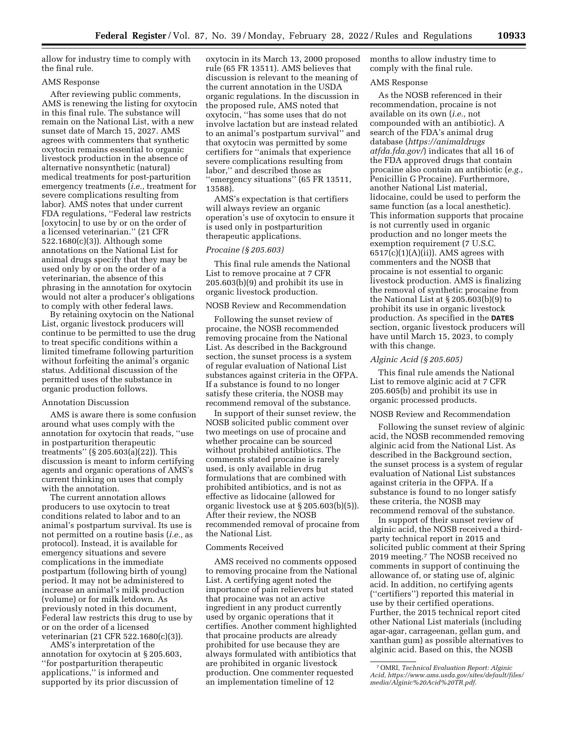allow for industry time to comply with the final rule.

## AMS Response

After reviewing public comments, AMS is renewing the listing for oxytocin in this final rule. The substance will remain on the National List, with a new sunset date of March 15, 2027. AMS agrees with commenters that synthetic oxytocin remains essential to organic livestock production in the absence of alternative nonsynthetic (natural) medical treatments for post-parturition emergency treatments (*i.e.,* treatment for severe complications resulting from labor). AMS notes that under current FDA regulations, ''Federal law restricts [oxytocin] to use by or on the order of a licensed veterinarian.'' (21 CFR 522.1680(c)(3)). Although some annotations on the National List for animal drugs specify that they may be used only by or on the order of a veterinarian, the absence of this phrasing in the annotation for oxytocin would not alter a producer's obligations to comply with other federal laws.

By retaining oxytocin on the National List, organic livestock producers will continue to be permitted to use the drug to treat specific conditions within a limited timeframe following parturition without forfeiting the animal's organic status. Additional discussion of the permitted uses of the substance in organic production follows.

## Annotation Discussion

AMS is aware there is some confusion around what uses comply with the annotation for oxytocin that reads, ''use in postparturition therapeutic treatments'' (§ 205.603(a)(22)). This discussion is meant to inform certifying agents and organic operations of AMS's current thinking on uses that comply with the annotation.

The current annotation allows producers to use oxytocin to treat conditions related to labor and to an animal's postpartum survival. Its use is not permitted on a routine basis (*i.e.,* as protocol). Instead, it is available for emergency situations and severe complications in the immediate postpartum (following birth of young) period. It may not be administered to increase an animal's milk production (volume) or for milk letdown. As previously noted in this document, Federal law restricts this drug to use by or on the order of a licensed veterinarian (21 CFR 522.1680(c)(3)).

AMS's interpretation of the annotation for oxytocin at § 205.603, ''for postparturition therapeutic applications,'' is informed and supported by its prior discussion of

oxytocin in its March 13, 2000 proposed rule (65 FR 13511). AMS believes that discussion is relevant to the meaning of the current annotation in the USDA organic regulations. In the discussion in the proposed rule, AMS noted that oxytocin, ''has some uses that do not involve lactation but are instead related to an animal's postpartum survival'' and that oxytocin was permitted by some certifiers for ''animals that experience severe complications resulting from labor,'' and described those as ''emergency situations'' (65 FR 13511, 13588).

AMS's expectation is that certifiers will always review an organic operation's use of oxytocin to ensure it is used only in postparturition therapeutic applications.

# *Procaine (§ 205.603)*

This final rule amends the National List to remove procaine at 7 CFR 205.603(b)(9) and prohibit its use in organic livestock production.

## NOSB Review and Recommendation

Following the sunset review of procaine, the NOSB recommended removing procaine from the National List. As described in the Background section, the sunset process is a system of regular evaluation of National List substances against criteria in the OFPA. If a substance is found to no longer satisfy these criteria, the NOSB may recommend removal of the substance.

In support of their sunset review, the NOSB solicited public comment over two meetings on use of procaine and whether procaine can be sourced without prohibited antibiotics. The comments stated procaine is rarely used, is only available in drug formulations that are combined with prohibited antibiotics, and is not as effective as lidocaine (allowed for organic livestock use at § 205.603(b)(5)). After their review, the NOSB recommended removal of procaine from the National List.

#### Comments Received

AMS received no comments opposed to removing procaine from the National List. A certifying agent noted the importance of pain relievers but stated that procaine was not an active ingredient in any product currently used by organic operations that it certifies. Another comment highlighted that procaine products are already prohibited for use because they are always formulated with antibiotics that are prohibited in organic livestock production. One commenter requested an implementation timeline of 12

months to allow industry time to comply with the final rule.

## AMS Response

As the NOSB referenced in their recommendation, procaine is not available on its own (*i.e.,* not compounded with an antibiotic). A search of the FDA's animal drug database (*[https://animaldrugs](https://animaldrugsatfda.fda.gov/) [atfda.fda.gov/](https://animaldrugsatfda.fda.gov/)*) indicates that all 16 of the FDA approved drugs that contain procaine also contain an antibiotic (*e.g.,*  Penicillin G Procaine). Furthermore, another National List material, lidocaine, could be used to perform the same function (as a local anesthetic). This information supports that procaine is not currently used in organic production and no longer meets the exemption requirement (7 U.S.C.  $6517(c)(1)(A)(ii)$ . AMS agrees with commenters and the NOSB that procaine is not essential to organic livestock production. AMS is finalizing the removal of synthetic procaine from the National List at § 205.603(b)(9) to prohibit its use in organic livestock production. As specified in the **DATES** section, organic livestock producers will have until March 15, 2023, to comply with this change.

#### *Alginic Acid (§ 205.605)*

This final rule amends the National List to remove alginic acid at 7 CFR 205.605(b) and prohibit its use in organic processed products.

## NOSB Review and Recommendation

Following the sunset review of alginic acid, the NOSB recommended removing alginic acid from the National List. As described in the Background section, the sunset process is a system of regular evaluation of National List substances against criteria in the OFPA. If a substance is found to no longer satisfy these criteria, the NOSB may recommend removal of the substance.

In support of their sunset review of alginic acid, the NOSB received a thirdparty technical report in 2015 and solicited public comment at their Spring 2019 meeting.7 The NOSB received no comments in support of continuing the allowance of, or stating use of, alginic acid. In addition, no certifying agents (''certifiers'') reported this material in use by their certified operations. Further, the 2015 technical report cited other National List materials (including agar-agar, carrageenan, gellan gum, and xanthan gum) as possible alternatives to alginic acid. Based on this, the NOSB

<sup>7</sup>OMRI, *Technical Evaluation Report: Alginic Acid, [https://www.ams.usda.gov/sites/default/files/](https://www.ams.usda.gov/sites/default/files/media/Alginic%20Acid%20TR.pdf)  [media/Alginic%20Acid%20TR.pdf](https://www.ams.usda.gov/sites/default/files/media/Alginic%20Acid%20TR.pdf)*.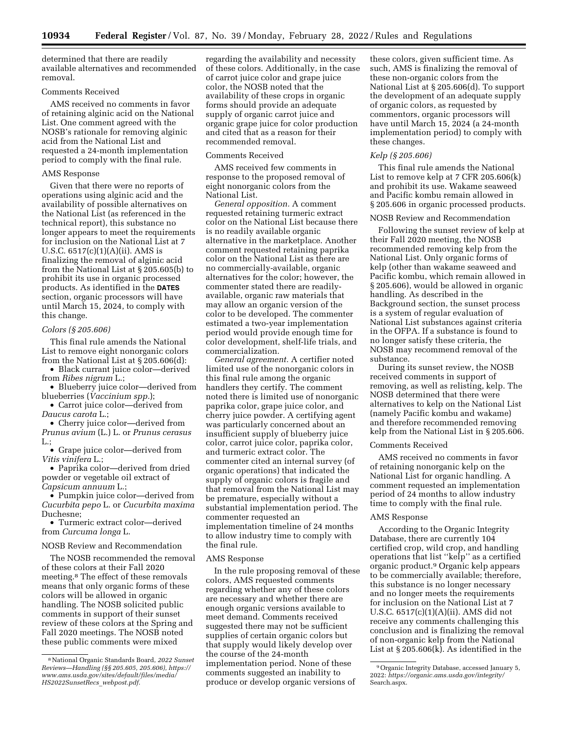determined that there are readily available alternatives and recommended removal.

# Comments Received

AMS received no comments in favor of retaining alginic acid on the National List. One comment agreed with the NOSB's rationale for removing alginic acid from the National List and requested a 24-month implementation period to comply with the final rule.

## AMS Response

Given that there were no reports of operations using alginic acid and the availability of possible alternatives on the National List (as referenced in the technical report), this substance no longer appears to meet the requirements for inclusion on the National List at 7 U.S.C. 6517(c)(1)(A)(ii). AMS is finalizing the removal of alginic acid from the National List at § 205.605(b) to prohibit its use in organic processed products. As identified in the **DATES** section, organic processors will have until March 15, 2024, to comply with this change.

### *Colors (§ 205.606)*

This final rule amends the National List to remove eight nonorganic colors from the National List at § 205.606(d):

• Black currant juice color—derived from *Ribes nigrum* L.;

• Blueberry juice color—derived from blueberries (*Vaccinium spp.*);

• Carrot juice color—derived from *Daucus carota* L.;

• Cherry juice color—derived from *Prunus avium* (L.) L. or *Prunus cerasus*   $L:$ 

• Grape juice color—derived from *Vitis vinifera* L.;

• Paprika color—derived from dried powder or vegetable oil extract of *Capsicum annuum* L.;

• Pumpkin juice color—derived from *Cucurbita pepo* L. or *Cucurbita maxima*  Duchesne;

• Turmeric extract color—derived from *Curcuma longa* L.

## NOSB Review and Recommendation

The NOSB recommended the removal of these colors at their Fall 2020 meeting.8 The effect of these removals means that only organic forms of these colors will be allowed in organic handling. The NOSB solicited public comments in support of their sunset review of these colors at the Spring and Fall 2020 meetings. The NOSB noted these public comments were mixed

regarding the availability and necessity of these colors. Additionally, in the case of carrot juice color and grape juice color, the NOSB noted that the availability of these crops in organic forms should provide an adequate supply of organic carrot juice and organic grape juice for color production and cited that as a reason for their recommended removal.

### Comments Received

AMS received few comments in response to the proposed removal of eight nonorganic colors from the National List.

*General opposition.* A comment requested retaining turmeric extract color on the National List because there is no readily available organic alternative in the marketplace. Another comment requested retaining paprika color on the National List as there are no commercially-available, organic alternatives for the color; however, the commenter stated there are readilyavailable, organic raw materials that may allow an organic version of the color to be developed. The commenter estimated a two-year implementation period would provide enough time for color development, shelf-life trials, and commercialization.

*General agreement.* A certifier noted limited use of the nonorganic colors in this final rule among the organic handlers they certify. The comment noted there is limited use of nonorganic paprika color, grape juice color, and cherry juice powder. A certifying agent was particularly concerned about an insufficient supply of blueberry juice color, carrot juice color, paprika color, and turmeric extract color. The commenter cited an internal survey (of organic operations) that indicated the supply of organic colors is fragile and that removal from the National List may be premature, especially without a substantial implementation period. The commenter requested an implementation timeline of 24 months to allow industry time to comply with the final rule.

## AMS Response

In the rule proposing removal of these colors, AMS requested comments regarding whether any of these colors are necessary and whether there are enough organic versions available to meet demand. Comments received suggested there may not be sufficient supplies of certain organic colors but that supply would likely develop over the course of the 24-month implementation period. None of these comments suggested an inability to produce or develop organic versions of

these colors, given sufficient time. As such, AMS is finalizing the removal of these non-organic colors from the National List at § 205.606(d). To support the development of an adequate supply of organic colors, as requested by commentors, organic processors will have until March 15, 2024 (a 24-month implementation period) to comply with these changes.

### *Kelp (§ 205.606)*

This final rule amends the National List to remove kelp at 7 CFR 205.606(k) and prohibit its use. Wakame seaweed and Pacific kombu remain allowed in § 205.606 in organic processed products.

## NOSB Review and Recommendation

Following the sunset review of kelp at their Fall 2020 meeting, the NOSB recommended removing kelp from the National List. Only organic forms of kelp (other than wakame seaweed and Pacific kombu, which remain allowed in § 205.606), would be allowed in organic handling. As described in the Background section, the sunset process is a system of regular evaluation of National List substances against criteria in the OFPA. If a substance is found to no longer satisfy these criteria, the NOSB may recommend removal of the substance.

During its sunset review, the NOSB received comments in support of removing, as well as relisting, kelp. The NOSB determined that there were alternatives to kelp on the National List (namely Pacific kombu and wakame) and therefore recommended removing kelp from the National List in § 205.606.

### Comments Received

AMS received no comments in favor of retaining nonorganic kelp on the National List for organic handling. A comment requested an implementation period of 24 months to allow industry time to comply with the final rule.

### AMS Response

According to the Organic Integrity Database, there are currently 104 certified crop, wild crop, and handling operations that list ''kelp'' as a certified organic product.9 Organic kelp appears to be commercially available; therefore, this substance is no longer necessary and no longer meets the requirements for inclusion on the National List at 7 U.S.C. 6517(c)(1)(A)(ii). AMS did not receive any comments challenging this conclusion and is finalizing the removal of non-organic kelp from the National List at § 205.606(k). As identified in the

<sup>8</sup>National Organic Standards Board, *2022 Sunset Reviews—Handling (§§ 205.605, 205.606), [https://](https://www.ams.usda.gov/sites/default/files/media/HS2022SunsetRecs_webpost.pdf)  [www.ams.usda.gov/sites/default/files/media/](https://www.ams.usda.gov/sites/default/files/media/HS2022SunsetRecs_webpost.pdf)  [HS2022SunsetRecs](https://www.ams.usda.gov/sites/default/files/media/HS2022SunsetRecs_webpost.pdf)*\_*webpost.pdf*.

<sup>9</sup>Organic Integrity Database, accessed January 5, 2022: *[https://organic.ams.usda.gov/integrity/](https://organic.ams.usda.gov/integrity/Search.aspx)*  [Search.aspx.](https://organic.ams.usda.gov/integrity/Search.aspx)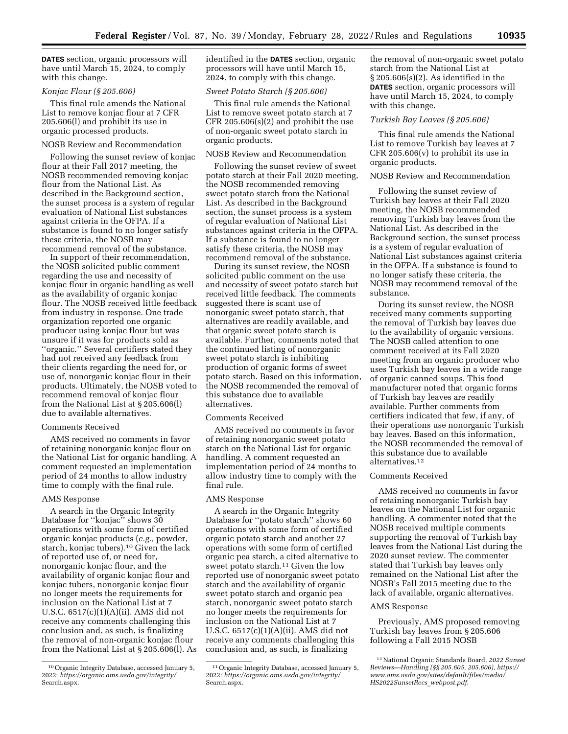**DATES** section, organic processors will have until March 15, 2024, to comply with this change.

# *Konjac Flour (§ 205.606)*

This final rule amends the National List to remove konjac flour at 7 CFR 205.606(l) and prohibit its use in organic processed products.

## NOSB Review and Recommendation

Following the sunset review of konjac flour at their Fall 2017 meeting, the NOSB recommended removing konjac flour from the National List. As described in the Background section, the sunset process is a system of regular evaluation of National List substances against criteria in the OFPA. If a substance is found to no longer satisfy these criteria, the NOSB may recommend removal of the substance.

In support of their recommendation, the NOSB solicited public comment regarding the use and necessity of konjac flour in organic handling as well as the availability of organic konjac flour. The NOSB received little feedback from industry in response. One trade organization reported one organic producer using konjac flour but was unsure if it was for products sold as ''organic.'' Several certifiers stated they had not received any feedback from their clients regarding the need for, or use of, nonorganic konjac flour in their products. Ultimately, the NOSB voted to recommend removal of konjac flour from the National List at § 205.606(l) due to available alternatives.

## Comments Received

AMS received no comments in favor of retaining nonorganic konjac flour on the National List for organic handling. A comment requested an implementation period of 24 months to allow industry time to comply with the final rule.

### AMS Response

A search in the Organic Integrity Database for ''konjac'' shows 30 operations with some form of certified organic konjac products (*e.g.,* powder, starch, konjac tubers).10 Given the lack of reported use of, or need for, nonorganic konjac flour, and the availability of organic konjac flour and konjac tubers, nonorganic konjac flour no longer meets the requirements for inclusion on the National List at 7 U.S.C. 6517(c)(1)(A)(ii). AMS did not receive any comments challenging this conclusion and, as such, is finalizing the removal of non-organic konjac flour from the National List at § 205.606(l). As identified in the **DATES** section, organic processors will have until March 15, 2024, to comply with this change.

## *Sweet Potato Starch (§ 205.606)*

This final rule amends the National List to remove sweet potato starch at 7 CFR 205.606 $(s)(2)$  and prohibit the use of non-organic sweet potato starch in organic products.

### NOSB Review and Recommendation

Following the sunset review of sweet potato starch at their Fall 2020 meeting, the NOSB recommended removing sweet potato starch from the National List. As described in the Background section, the sunset process is a system of regular evaluation of National List substances against criteria in the OFPA. If a substance is found to no longer satisfy these criteria, the NOSB may recommend removal of the substance.

During its sunset review, the NOSB solicited public comment on the use and necessity of sweet potato starch but received little feedback. The comments suggested there is scant use of nonorganic sweet potato starch, that alternatives are readily available, and that organic sweet potato starch is available. Further, comments noted that the continued listing of nonorganic sweet potato starch is inhibiting production of organic forms of sweet potato starch. Based on this information, the NOSB recommended the removal of this substance due to available alternatives.

### Comments Received

AMS received no comments in favor of retaining nonorganic sweet potato starch on the National List for organic handling. A comment requested an implementation period of 24 months to allow industry time to comply with the final rule.

## AMS Response

A search in the Organic Integrity Database for ''potato starch'' shows 60 operations with some form of certified organic potato starch and another 27 operations with some form of certified organic pea starch, a cited alternative to sweet potato starch.<sup>11</sup> Given the low reported use of nonorganic sweet potato starch and the availability of organic sweet potato starch and organic pea starch, nonorganic sweet potato starch no longer meets the requirements for inclusion on the National List at 7 U.S.C. 6517(c)(1)(A)(ii). AMS did not receive any comments challenging this conclusion and, as such, is finalizing

the removal of non-organic sweet potato starch from the National List at § 205.606(s)(2). As identified in the **DATES** section, organic processors will have until March 15, 2024, to comply with this change.

### *Turkish Bay Leaves (§ 205.606)*

This final rule amends the National List to remove Turkish bay leaves at 7 CFR 205.606(v) to prohibit its use in organic products.

### NOSB Review and Recommendation

Following the sunset review of Turkish bay leaves at their Fall 2020 meeting, the NOSB recommended removing Turkish bay leaves from the National List. As described in the Background section, the sunset process is a system of regular evaluation of National List substances against criteria in the OFPA. If a substance is found to no longer satisfy these criteria, the NOSB may recommend removal of the substance.

During its sunset review, the NOSB received many comments supporting the removal of Turkish bay leaves due to the availability of organic versions. The NOSB called attention to one comment received at its Fall 2020 meeting from an organic producer who uses Turkish bay leaves in a wide range of organic canned soups. This food manufacturer noted that organic forms of Turkish bay leaves are readily available. Further comments from certifiers indicated that few, if any, of their operations use nonorganic Turkish bay leaves. Based on this information, the NOSB recommended the removal of this substance due to available alternatives.12

### Comments Received

AMS received no comments in favor of retaining nonorganic Turkish bay leaves on the National List for organic handling. A commenter noted that the NOSB received multiple comments supporting the removal of Turkish bay leaves from the National List during the 2020 sunset review. The commenter stated that Turkish bay leaves only remained on the National List after the NOSB's Fall 2015 meeting due to the lack of available, organic alternatives.

### AMS Response

Previously, AMS proposed removing Turkish bay leaves from § 205.606 following a Fall 2015 NOSB

<sup>10</sup>Organic Integrity Database, accessed January 5, 2022: *[https://organic.ams.usda.gov/integrity/](https://organic.ams.usda.gov/integrity/Search.aspx)*  [Search.aspx.](https://organic.ams.usda.gov/integrity/Search.aspx)

<sup>11</sup>Organic Integrity Database, accessed January 5, 2022: *[https://organic.ams.usda.gov/integrity/](https://organic.ams.usda.gov/integrity/Search.aspx)*  [Search.aspx.](https://organic.ams.usda.gov/integrity/Search.aspx)

<sup>12</sup>National Organic Standards Board, *2022 Sunset Reviews—Handling (§§ 205.605, 205.606), [https://](https://www.ams.usda.gov/sites/default/files/media/HS2022SunsetRecs_webpost.pdf) [www.ams.usda.gov/sites/default/files/media/](https://www.ams.usda.gov/sites/default/files/media/HS2022SunsetRecs_webpost.pdf)  [HS2022SunsetRecs](https://www.ams.usda.gov/sites/default/files/media/HS2022SunsetRecs_webpost.pdf)*\_*webpost.pdf*.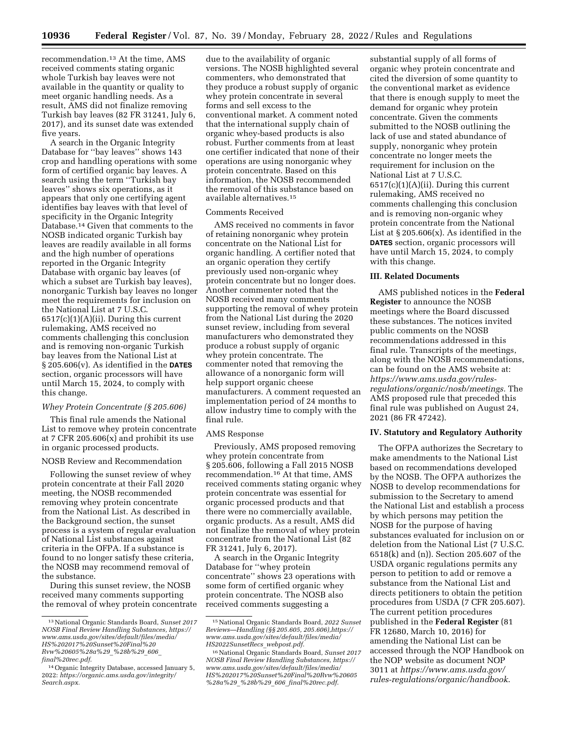recommendation.13 At the time, AMS received comments stating organic whole Turkish bay leaves were not available in the quantity or quality to meet organic handling needs. As a result, AMS did not finalize removing Turkish bay leaves (82 FR 31241, July 6, 2017), and its sunset date was extended five years.

A search in the Organic Integrity Database for ''bay leaves'' shows 143 crop and handling operations with some form of certified organic bay leaves. A search using the term ''Turkish bay leaves'' shows six operations, as it appears that only one certifying agent identifies bay leaves with that level of specificity in the Organic Integrity Database.14 Given that comments to the NOSB indicated organic Turkish bay leaves are readily available in all forms and the high number of operations reported in the Organic Integrity Database with organic bay leaves (of which a subset are Turkish bay leaves), nonorganic Turkish bay leaves no longer meet the requirements for inclusion on the National List at 7 U.S.C. 6517(c)(1)(A)(ii). During this current rulemaking, AMS received no comments challenging this conclusion and is removing non-organic Turkish bay leaves from the National List at § 205.606(v). As identified in the **DATES** section, organic processors will have until March 15, 2024, to comply with this change.

# *Whey Protein Concentrate (§ 205.606)*

This final rule amends the National List to remove whey protein concentrate at 7 CFR 205.606 $(x)$  and prohibit its use in organic processed products.

### NOSB Review and Recommendation

Following the sunset review of whey protein concentrate at their Fall 2020 meeting, the NOSB recommended removing whey protein concentrate from the National List. As described in the Background section, the sunset process is a system of regular evaluation of National List substances against criteria in the OFPA. If a substance is found to no longer satisfy these criteria, the NOSB may recommend removal of the substance.

During this sunset review, the NOSB received many comments supporting the removal of whey protein concentrate due to the availability of organic versions. The NOSB highlighted several commenters, who demonstrated that they produce a robust supply of organic whey protein concentrate in several forms and sell excess to the conventional market. A comment noted that the international supply chain of organic whey-based products is also robust. Further comments from at least one certifier indicated that none of their operations are using nonorganic whey protein concentrate. Based on this information, the NOSB recommended the removal of this substance based on available alternatives.15

## Comments Received

AMS received no comments in favor of retaining nonorganic whey protein concentrate on the National List for organic handling. A certifier noted that an organic operation they certify previously used non-organic whey protein concentrate but no longer does. Another commenter noted that the NOSB received many comments supporting the removal of whey protein from the National List during the 2020 sunset review, including from several manufacturers who demonstrated they produce a robust supply of organic whey protein concentrate. The commenter noted that removing the allowance of a nonorganic form will help support organic cheese manufacturers. A comment requested an implementation period of 24 months to allow industry time to comply with the final rule.

# AMS Response

Previously, AMS proposed removing whey protein concentrate from § 205.606, following a Fall 2015 NOSB recommendation.16 At that time, AMS received comments stating organic whey protein concentrate was essential for organic processed products and that there were no commercially available, organic products. As a result, AMS did not finalize the removal of whey protein concentrate from the National List (82 FR 31241, July 6, 2017).

A search in the Organic Integrity Database for ''whey protein concentrate'' shows 23 operations with some form of certified organic whey protein concentrate. The NOSB also received comments suggesting a

substantial supply of all forms of organic whey protein concentrate and cited the diversion of some quantity to the conventional market as evidence that there is enough supply to meet the demand for organic whey protein concentrate. Given the comments submitted to the NOSB outlining the lack of use and stated abundance of supply, nonorganic whey protein concentrate no longer meets the requirement for inclusion on the National List at 7 U.S.C.  $6517(c)(1)(A)(ii)$ . During this current rulemaking, AMS received no comments challenging this conclusion and is removing non-organic whey protein concentrate from the National List at  $\S 205.606(x)$ . As identified in the **DATES** section, organic processors will have until March 15, 2024, to comply with this change.

## **III. Related Documents**

AMS published notices in the **Federal Register** to announce the NOSB meetings where the Board discussed these substances. The notices invited public comments on the NOSB recommendations addressed in this final rule. Transcripts of the meetings, along with the NOSB recommendations, can be found on the AMS website at: *[https://www.ams.usda.gov/rules](https://www.ams.usda.gov/rules-regulations/organic/nosb/meetings)[regulations/organic/nosb/meetings.](https://www.ams.usda.gov/rules-regulations/organic/nosb/meetings)* The AMS proposed rule that preceded this final rule was published on August 24, 2021 (86 FR 47242).

## **IV. Statutory and Regulatory Authority**

The OFPA authorizes the Secretary to make amendments to the National List based on recommendations developed by the NOSB. The OFPA authorizes the NOSB to develop recommendations for submission to the Secretary to amend the National List and establish a process by which persons may petition the NOSB for the purpose of having substances evaluated for inclusion on or deletion from the National List (7 U.S.C. 6518(k) and (n)). Section 205.607 of the USDA organic regulations permits any person to petition to add or remove a substance from the National List and directs petitioners to obtain the petition procedures from USDA (7 CFR 205.607). The current petition procedures published in the **Federal Register** (81 FR 12680, March 10, 2016) for amending the National List can be accessed through the NOP Handbook on the NOP website as document NOP 3011 at *[https://www.ams.usda.gov/](https://www.ams.usda.gov/rules-regulations/organic/handbook)  [rules-regulations/organic/handbook](https://www.ams.usda.gov/rules-regulations/organic/handbook)*.

<sup>13</sup>National Organic Standards Board, *Sunset 2017 NOSB Final Review Handling Substances, [https://](https://www.ams.usda.gov/sites/default/files/media/HS%202017%20Sunset%20Final%20Rvw%20605%28a%29_%28b%29_606_final%20rec.pdf)  [www.ams.usda.gov/sites/default/files/media/](https://www.ams.usda.gov/sites/default/files/media/HS%202017%20Sunset%20Final%20Rvw%20605%28a%29_%28b%29_606_final%20rec.pdf)  [HS%202017%20Sunset%20Final%20](https://www.ams.usda.gov/sites/default/files/media/HS%202017%20Sunset%20Final%20Rvw%20605%28a%29_%28b%29_606_final%20rec.pdf) [Rvw%20605%28a%29](https://www.ams.usda.gov/sites/default/files/media/HS%202017%20Sunset%20Final%20Rvw%20605%28a%29_%28b%29_606_final%20rec.pdf)*\_*%28b%29*\_*606*\_ *[final%20rec.pdf](https://www.ams.usda.gov/sites/default/files/media/HS%202017%20Sunset%20Final%20Rvw%20605%28a%29_%28b%29_606_final%20rec.pdf)*.

<sup>14</sup>Organic Integrity Database, accessed January 5, 2022: *[https://organic.ams.usda.gov/integrity/](https://organic.ams.usda.gov/integrity/Search.aspx)  [Search.aspx.](https://organic.ams.usda.gov/integrity/Search.aspx)* 

<sup>15</sup>National Organic Standards Board, *2022 Sunset Reviews—Handling (§§ 205.605, 205.606),[https://](https://www.ams.usda.gov/sites/default/files/media/HS2022SunsetRecs_webpost.pdf) [www.ams.usda.gov/sites/default/files/media/](https://www.ams.usda.gov/sites/default/files/media/HS2022SunsetRecs_webpost.pdf)  [HS2022SunsetRecs](https://www.ams.usda.gov/sites/default/files/media/HS2022SunsetRecs_webpost.pdf)*\_*webpost.pdf*.

<sup>16</sup>National Organic Standards Board, *Sunset 2017 NOSB Final Review Handling Substances, [https://](https://www.ams.usda.gov/sites/default/files/media/HS%202017%20Sunset%20Final%20Rvw%20605%28a%29_%28b%29_606_final%20rec.pdf)  [www.ams.usda.gov/sites/default/files/media/](https://www.ams.usda.gov/sites/default/files/media/HS%202017%20Sunset%20Final%20Rvw%20605%28a%29_%28b%29_606_final%20rec.pdf)  [HS%202017%20Sunset%20Final%20Rvw%20605](https://www.ams.usda.gov/sites/default/files/media/HS%202017%20Sunset%20Final%20Rvw%20605%28a%29_%28b%29_606_final%20rec.pdf) %28a%29*\_*%28b%29*\_*606*\_*[final%20rec.pdf](https://www.ams.usda.gov/sites/default/files/media/HS%202017%20Sunset%20Final%20Rvw%20605%28a%29_%28b%29_606_final%20rec.pdf)*.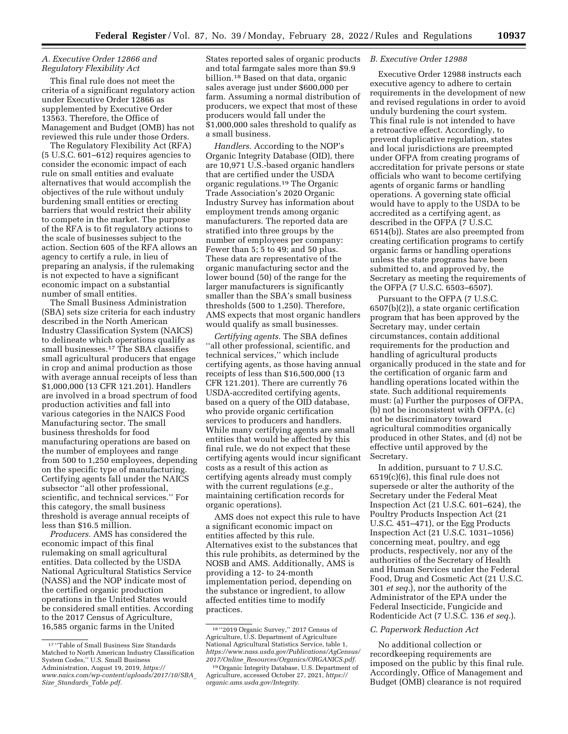## *A. Executive Order 12866 and Regulatory Flexibility Act*

This final rule does not meet the criteria of a significant regulatory action under Executive Order 12866 as supplemented by Executive Order 13563. Therefore, the Office of Management and Budget (OMB) has not reviewed this rule under those Orders.

The Regulatory Flexibility Act (RFA) (5 U.S.C. 601–612) requires agencies to consider the economic impact of each rule on small entities and evaluate alternatives that would accomplish the objectives of the rule without unduly burdening small entities or erecting barriers that would restrict their ability to compete in the market. The purpose of the RFA is to fit regulatory actions to the scale of businesses subject to the action. Section 605 of the RFA allows an agency to certify a rule, in lieu of preparing an analysis, if the rulemaking is not expected to have a significant economic impact on a substantial number of small entities.

The Small Business Administration (SBA) sets size criteria for each industry described in the North American Industry Classification System (NAICS) to delineate which operations qualify as small businesses.17 The SBA classifies small agricultural producers that engage in crop and animal production as those with average annual receipts of less than \$1,000,000 (13 CFR 121.201). Handlers are involved in a broad spectrum of food production activities and fall into various categories in the NAICS Food Manufacturing sector. The small business thresholds for food manufacturing operations are based on the number of employees and range from 500 to 1,250 employees, depending on the specific type of manufacturing. Certifying agents fall under the NAICS subsector ''all other professional, scientific, and technical services.'' For this category, the small business threshold is average annual receipts of less than \$16.5 million.

*Producers.* AMS has considered the economic impact of this final rulemaking on small agricultural entities. Data collected by the USDA National Agricultural Statistics Service (NASS) and the NOP indicate most of the certified organic production operations in the United States would be considered small entities. According to the 2017 Census of Agriculture, 16,585 organic farms in the United

States reported sales of organic products and total farmgate sales more than \$9.9 billion.18 Based on that data, organic sales average just under \$600,000 per farm. Assuming a normal distribution of producers, we expect that most of these producers would fall under the \$1,000,000 sales threshold to qualify as a small business.

*Handlers.* According to the NOP's Organic Integrity Database (OID), there are 10,971 U.S.-based organic handlers that are certified under the USDA organic regulations.19 The Organic Trade Association's 2020 Organic Industry Survey has information about employment trends among organic manufacturers. The reported data are stratified into three groups by the number of employees per company: Fewer than 5; 5 to 49; and 50 plus. These data are representative of the organic manufacturing sector and the lower bound (50) of the range for the larger manufacturers is significantly smaller than the SBA's small business thresholds (500 to 1,250). Therefore, AMS expects that most organic handlers would qualify as small businesses.

*Certifying agents.* The SBA defines ''all other professional, scientific, and technical services,'' which include certifying agents, as those having annual receipts of less than \$16,500,000 (13 CFR 121.201). There are currently 76 USDA-accredited certifying agents, based on a query of the OID database, who provide organic certification services to producers and handlers. While many certifying agents are small entities that would be affected by this final rule, we do not expect that these certifying agents would incur significant costs as a result of this action as certifying agents already must comply with the current regulations (*e.g.,*  maintaining certification records for organic operations).

AMS does not expect this rule to have a significant economic impact on entities affected by this rule. Alternatives exist to the substances that this rule prohibits, as determined by the NOSB and AMS. Additionally, AMS is providing a 12- to 24-month implementation period, depending on the substance or ingredient, to allow affected entities time to modify practices.

## *B. Executive Order 12988*

Executive Order 12988 instructs each executive agency to adhere to certain requirements in the development of new and revised regulations in order to avoid unduly burdening the court system. This final rule is not intended to have a retroactive effect. Accordingly, to prevent duplicative regulation, states and local jurisdictions are preempted under OFPA from creating programs of accreditation for private persons or state officials who want to become certifying agents of organic farms or handling operations. A governing state official would have to apply to the USDA to be accredited as a certifying agent, as described in the OFPA (7 U.S.C. 6514(b)). States are also preempted from creating certification programs to certify organic farms or handling operations unless the state programs have been submitted to, and approved by, the Secretary as meeting the requirements of the OFPA (7 U.S.C. 6503–6507).

Pursuant to the OFPA (7 U.S.C. 6507(b)(2)), a state organic certification program that has been approved by the Secretary may, under certain circumstances, contain additional requirements for the production and handling of agricultural products organically produced in the state and for the certification of organic farm and handling operations located within the state. Such additional requirements must: (a) Further the purposes of OFPA, (b) not be inconsistent with OFPA, (c) not be discriminatory toward agricultural commodities organically produced in other States, and (d) not be effective until approved by the Secretary.

In addition, pursuant to 7 U.S.C. 6519(c)(6), this final rule does not supersede or alter the authority of the Secretary under the Federal Meat Inspection Act (21 U.S.C. 601–624), the Poultry Products Inspection Act (21 U.S.C. 451–471), or the Egg Products Inspection Act (21 U.S.C. 1031–1056) concerning meat, poultry, and egg products, respectively, nor any of the authorities of the Secretary of Health and Human Services under the Federal Food, Drug and Cosmetic Act (21 U.S.C. 301 *et seq.*), nor the authority of the Administrator of the EPA under the Federal Insecticide, Fungicide and Rodenticide Act (7 U.S.C. 136 *et seq.*).

### *C. Paperwork Reduction Act*

No additional collection or recordkeeping requirements are imposed on the public by this final rule. Accordingly, Office of Management and Budget (OMB) clearance is not required

<sup>17</sup> ''Table of Small Business Size Standards Matched to North American Industry Classification System Codes,'' U.S. Small Business Administration, August 19, 2019, *[https://](https://www.naics.com/wp-content/uploads/2017/10/SBA_Size_Standards_Table.pdf) [www.naics.com/wp-content/uploads/2017/10/SBA](https://www.naics.com/wp-content/uploads/2017/10/SBA_Size_Standards_Table.pdf)*\_ *Size*\_*Standards*\_*[Table.pdf.](https://www.naics.com/wp-content/uploads/2017/10/SBA_Size_Standards_Table.pdf)* 

<sup>18</sup> ''2019 Organic Survey,'' 2017 Census of Agriculture, U.S. Department of Agriculture National Agricultural Statistics Service, table 1, *[https://www.nass.usda.gov/Publications/AgCensus/](https://www.nass.usda.gov/Publications/AgCensus/2017/Online_Resources/Organics/ORGANICS.pdf) 2017/Online*\_*[Resources/Organics/ORGANICS.pdf.](https://www.nass.usda.gov/Publications/AgCensus/2017/Online_Resources/Organics/ORGANICS.pdf)* 

<sup>19</sup>Organic Integrity Database, U.S. Department of Agriculture, accessed October 27, 2021, *[https://](https://organic.ams.usda.gov/Integrity) [organic.ams.usda.gov/Integrity.](https://organic.ams.usda.gov/Integrity)*